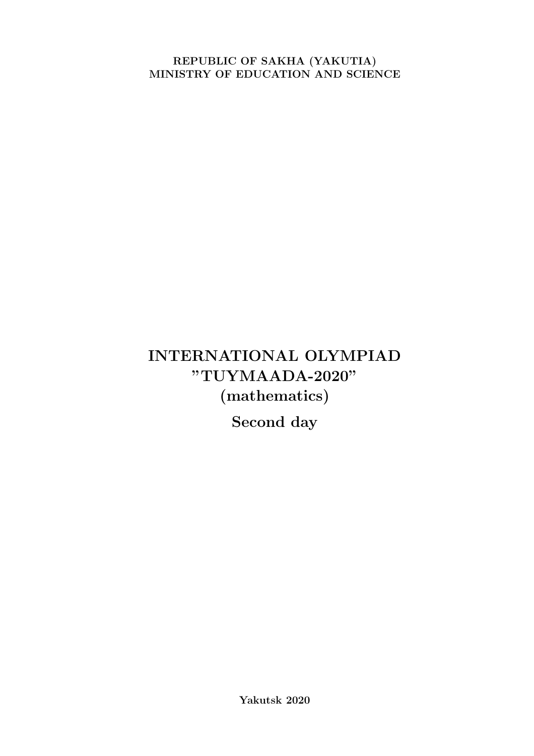REPUBLIC OF SAKHA (YAKUTIA) MINISTRY OF EDUCATION AND SCIENCE

# INTERNATIONAL OLYMPIAD "TUYMAADA-2020" (mathematics)

Second day

Yakutsk 2020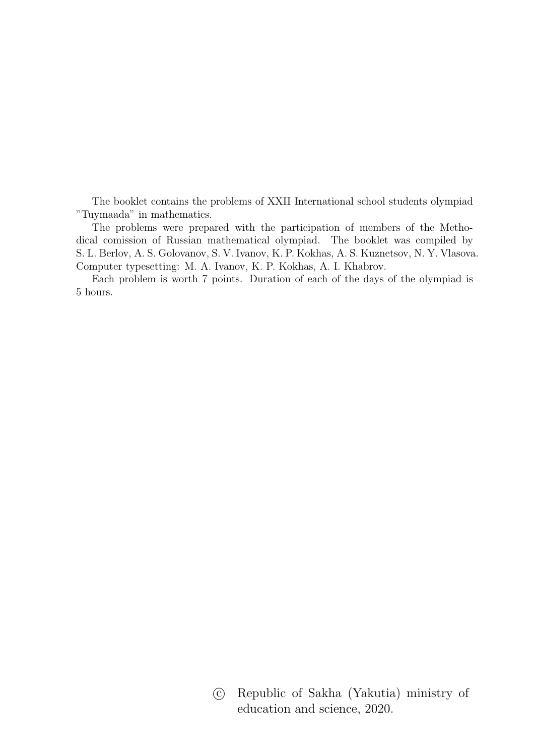The booklet contains the problems of XXII International school students olympiad "Tuymaada" in mathematics.

The problems were prepared with the participation of members of the Methodical comission of Russian mathematical olympiad. The booklet was compiled by S. L. Berlov, A. S. Golovanov, S. V. Ivanov, K. P. Kokhas, A. S. Kuznetsov, N. Y. Vlasova. Computer typesetting: M. A. Ivanov, K. P. Kokhas, A. I. Khabrov.

Each problem is worth 7 points. Duration of each of the days of the olympiad is 5 hours.

> c Republic of Sakha (Yakutia) ministry of education and science, 2020.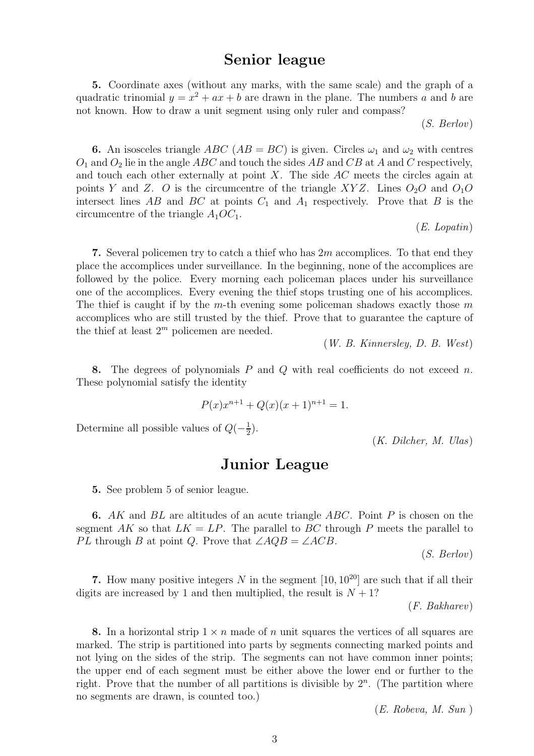## Senior league

5. Coordinate axes (without any marks, with the same scale) and the graph of a quadratic trinomial  $y = x^2 + ax + b$  are drawn in the plane. The numbers a and b are not known. How to draw a unit segment using only ruler and compass?

(*S. Berlov*)

**6.** An isosceles triangle ABC ( $AB = BC$ ) is given. Circles  $\omega_1$  and  $\omega_2$  with centres  $O_1$  and  $O_2$  lie in the angle ABC and touch the sides AB and CB at A and C respectively, and touch each other externally at point  $X$ . The side  $AC$  meets the circles again at points Y and Z. O is the circumcentre of the triangle XYZ. Lines  $O_2O$  and  $O_1O$ intersect lines AB and BC at points  $C_1$  and  $A_1$  respectively. Prove that B is the circumcentre of the triangle  $A_1OC_1$ .

(*E. Lopatin*)

7. Several policemen try to catch a thief who has  $2m$  accomplices. To that end they place the accomplices under surveillance. In the beginning, none of the accomplices are followed by the police. Every morning each policeman places under his surveillance one of the accomplices. Every evening the thief stops trusting one of his accomplices. The thief is caught if by the m-th evening some policeman shadows exactly those  $m$ accomplices who are still trusted by the thief. Prove that to guarantee the capture of the thief at least  $2^m$  policemen are needed.

(*W. B. Kinnersley, D. B. West*)

8. The degrees of polynomials  $P$  and  $Q$  with real coefficients do not exceed n. These polynomial satisfy the identity

$$
P(x)x^{n+1} + Q(x)(x+1)^{n+1} = 1.
$$

Determine all possible values of  $Q(-\frac{1}{2})$  $(\frac{1}{2})$ .

(*K. Dilcher, M. Ulas*)

## Junior League

5. See problem 5 of senior league.

6. AK and  $BL$  are altitudes of an acute triangle  $ABC$ . Point P is chosen on the segment AK so that  $LK = LP$ . The parallel to BC through P meets the parallel to *PL* through B at point Q. Prove that  $\angle AQB = \angle ACB$ .

(*S. Berlov*)

7. How many positive integers N in the segment  $[10, 10^{20}]$  are such that if all their digits are increased by 1 and then multiplied, the result is  $N + 1$ ?

(*F. Bakharev*)

8. In a horizontal strip  $1 \times n$  made of n unit squares the vertices of all squares are marked. The strip is partitioned into parts by segments connecting marked points and not lying on the sides of the strip. The segments can not have common inner points; the upper end of each segment must be either above the lower end or further to the right. Prove that the number of all partitions is divisible by  $2<sup>n</sup>$ . (The partition where no segments are drawn, is counted too.)

(*E. Robeva, M. Sun* )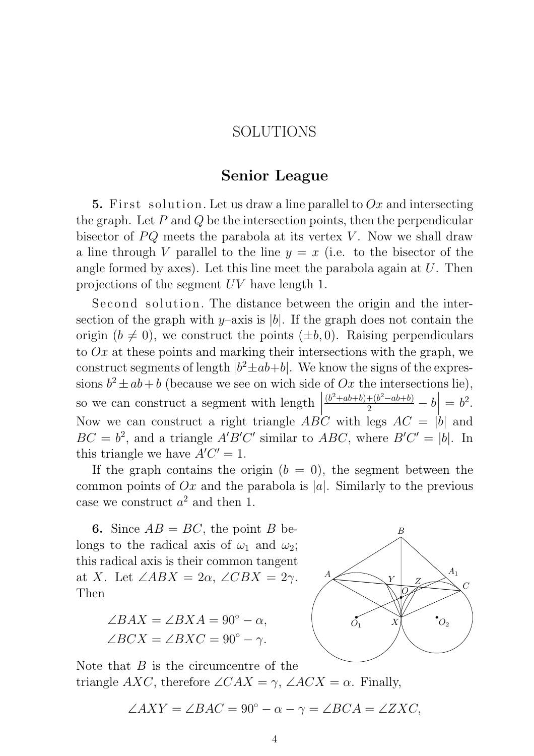## SOLUTIONS

## Senior League

5. First solution. Let us draw a line parallel to  $Ox$  and intersecting the graph. Let  $P$  and  $Q$  be the intersection points, then the perpendicular bisector of  $PQ$  meets the parabola at its vertex V. Now we shall draw a line through V parallel to the line  $y = x$  (i.e. to the bisector of the angle formed by axes). Let this line meet the parabola again at  $U$ . Then projections of the segment UV have length 1.

Second solution. The distance between the origin and the intersection of the graph with y–axis is |b|. If the graph does not contain the origin  $(b \neq 0)$ , we construct the points  $(\pm b, 0)$ . Raising perpendiculars to  $Ox$  at these points and marking their intersections with the graph, we construct segments of length  $|b^2 \pm ab + b|$ . We know the signs of the expressions  $b^2 \pm ab + b$  (because we see on wich side of Ox the intersections lie), so we can construct a segment with length  $\vert$  $\Big\}$ ļ  $\frac{(b^2+ab+b)+(b^2-ab+b)}{2}-b$  $= b^2.$ Now we can construct a right triangle  $AB'C$  with legs  $AC = |b|$  and  $BC = b^2$ , and a triangle  $A'B'C'$  similar to  $ABC$ , where  $B'C' = |b|$ . In this triangle we have  $A'C' = 1$ .

If the graph contains the origin  $(b = 0)$ , the segment between the common points of  $Ox$  and the parabola is |a|. Similarly to the previous case we construct  $a^2$  and then 1.

6. Since  $AB = BC$ , the point B belongs to the radical axis of  $\omega_1$  and  $\omega_2$ ; this radical axis is their common tangent at X. Let  $\angle ABX = 2\alpha$ ,  $\angle CBX = 2\gamma$ . Then

$$
\angle BAX = \angle BXA = 90^{\circ} - \alpha,
$$
  

$$
\angle BCX = \angle BXC = 90^{\circ} - \gamma.
$$



Note that  $B$  is the circumcentre of the triangle  $AXC$ , therefore  $\angle CAX = \gamma$ ,  $\angle ACX = \alpha$ . Finally,

$$
\angle AXY = \angle BAC = 90^{\circ} - \alpha - \gamma = \angle BCA = \angle ZXC,
$$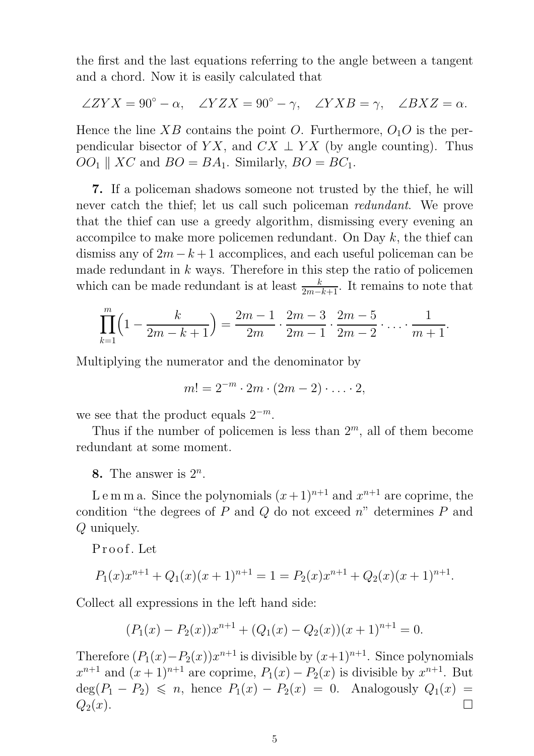the first and the last equations referring to the angle between a tangent and a chord. Now it is easily calculated that

$$
\angle ZYX = 90^{\circ} - \alpha, \quad \angle YZX = 90^{\circ} - \gamma, \quad \angle YXB = \gamma, \quad \angle BXZ = \alpha.
$$

Hence the line XB contains the point O. Furthermore,  $O_1O$  is the perpendicular bisector of YX, and  $CX \perp YX$  (by angle counting). Thus  $OO<sub>1</sub> \parallel XC$  and  $BO = BA<sub>1</sub>$ . Similarly,  $BO = BC<sub>1</sub>$ .

7. If a policeman shadows someone not trusted by the thief, he will never catch the thief; let us call such policeman *redundant*. We prove that the thief can use a greedy algorithm, dismissing every evening an accompilce to make more policemen redundant. On Day  $k$ , the thief can dismiss any of  $2m - k + 1$  accomplices, and each useful policeman can be made redundant in  $k$  ways. Therefore in this step the ratio of policemen which can be made redundant is at least  $\frac{k}{2m-k+1}$ . It remains to note that

$$
\prod_{k=1}^{m} \left(1 - \frac{k}{2m - k + 1}\right) = \frac{2m - 1}{2m} \cdot \frac{2m - 3}{2m - 1} \cdot \frac{2m - 5}{2m - 2} \cdot \ldots \cdot \frac{1}{m + 1}.
$$

Multiplying the numerator and the denominator by

$$
m! = 2^{-m} \cdot 2m \cdot (2m-2) \cdot \ldots \cdot 2,
$$

we see that the product equals  $2^{-m}$ .

Thus if the number of policemen is less than  $2<sup>m</sup>$ , all of them become redundant at some moment.

8. The answer is  $2^n$ .

Lemma. Since the polynomials  $(x+1)^{n+1}$  and  $x^{n+1}$  are coprime, the condition "the degrees of  $P$  and  $Q$  do not exceed  $n$ " determines  $P$  and Q uniquely.

P r o of . Let

$$
P_1(x)x^{n+1} + Q_1(x)(x+1)^{n+1} = 1 = P_2(x)x^{n+1} + Q_2(x)(x+1)^{n+1}.
$$

Collect all expressions in the left hand side:

$$
(P_1(x) - P_2(x))x^{n+1} + (Q_1(x) - Q_2(x))(x+1)^{n+1} = 0.
$$

Therefore  $(P_1(x) - P_2(x))x^{n+1}$  is divisible by  $(x+1)^{n+1}$ . Since polynomials  $x^{n+1}$  and  $(x+1)^{n+1}$  are coprime,  $P_1(x) - P_2(x)$  is divisible by  $x^{n+1}$ . But  $deg(P_1 - P_2) \leq n$ , hence  $P_1(x) - P_2(x) = 0$ . Analogously  $Q_1(x) =$  $Q_2(x)$ .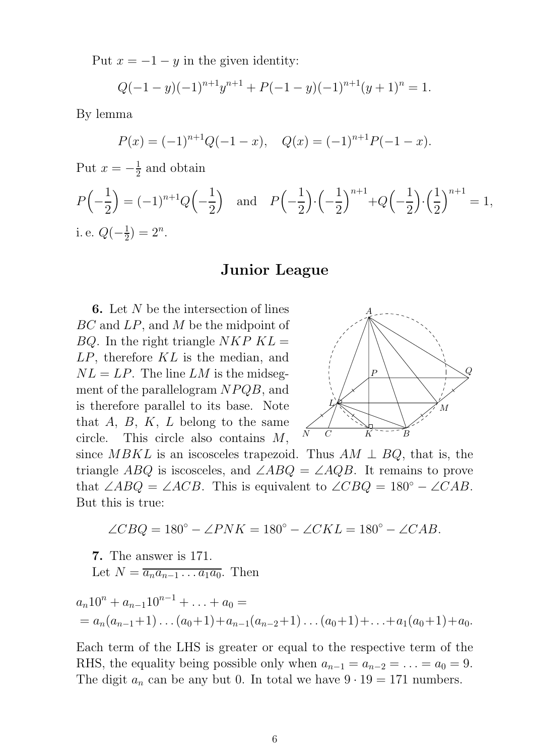Put  $x = -1 - y$  in the given identity:

$$
Q(-1-y)(-1)^{n+1}y^{n+1} + P(-1-y)(-1)^{n+1}(y+1)^n = 1.
$$

By lemma

$$
P(x) = (-1)^{n+1}Q(-1-x), \quad Q(x) = (-1)^{n+1}P(-1-x).
$$

Put 
$$
x = -\frac{1}{2}
$$
 and obtain  
\n
$$
P(-\frac{1}{2}) = (-1)^{n+1}Q(-\frac{1}{2}) \text{ and } P(-\frac{1}{2}) \cdot (-\frac{1}{2})^{n+1} + Q(-\frac{1}{2}) \cdot (\frac{1}{2})^{n+1} = 1,
$$
\ni.e.  $Q(-\frac{1}{2}) = 2^n$ .

### Junior League

6. Let N be the intersection of lines BC and LP, and M be the midpoint of  $BQ$ . In the right triangle NKP  $KL =$ LP, therefore KL is the median, and  $NL = LP$ . The line LM is the midsegment of the parallelogram  $NPQB$ , and is therefore parallel to its base. Note that  $A, B, K, L$  belong to the same circle. This circle also contains M,



since MBKL is an iscosceles trapezoid. Thus  $AM \perp BQ$ , that is, the triangle ABQ is iscosceles, and  $\angle ABQ = \angle AQB$ . It remains to prove that  $\angle ABQ = \angle ACB$ . This is equivalent to  $\angle CBQ = 180^{\circ} - \angle CAB$ . But this is true:

$$
\angle CBQ = 180^{\circ} - \angle PNK = 180^{\circ} - \angle CKL = 180^{\circ} - \angle CAB.
$$

7. The answer is 171.

Let 
$$
N = \overline{a_n a_{n-1} \dots a_1 a_0}
$$
. Then

$$
a_n 10^n + a_{n-1} 10^{n-1} + \ldots + a_0 =
$$
  
=  $a_n(a_{n-1}+1) \ldots (a_0+1) + a_{n-1}(a_{n-2}+1) \ldots (a_0+1) + \ldots + a_1(a_0+1) + a_0.$ 

Each term of the LHS is greater or equal to the respective term of the RHS, the equality being possible only when  $a_{n-1} = a_{n-2} = \ldots = a_0 = 9$ . The digit  $a_n$  can be any but 0. In total we have  $9 \cdot 19 = 171$  numbers.